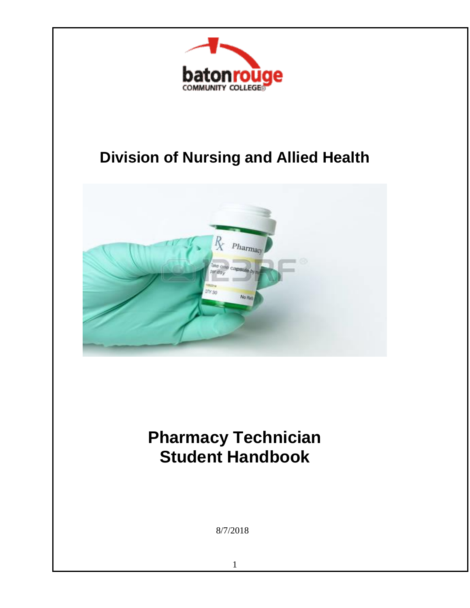

## **Division of Nursing and Allied Health**



# **Pharmacy Technician Student Handbook**

8/7/2018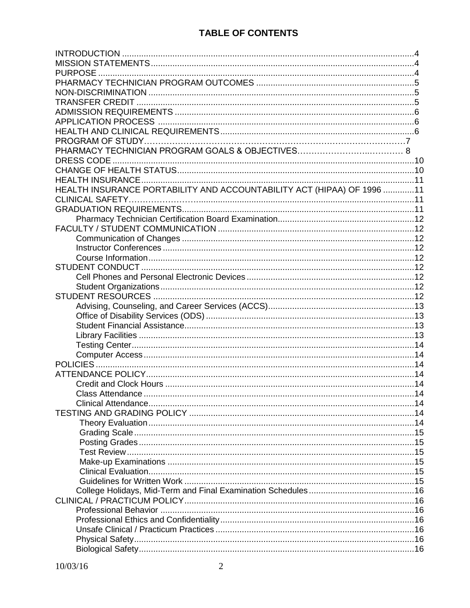| HEALTH INSURANCE PORTABILITY AND ACCOUNTABILITY ACT (HIPAA) OF 1996 11 |  |
|------------------------------------------------------------------------|--|
|                                                                        |  |
|                                                                        |  |
|                                                                        |  |
|                                                                        |  |
|                                                                        |  |
|                                                                        |  |
|                                                                        |  |
|                                                                        |  |
|                                                                        |  |
|                                                                        |  |
|                                                                        |  |
|                                                                        |  |
|                                                                        |  |
|                                                                        |  |
|                                                                        |  |
|                                                                        |  |
|                                                                        |  |
|                                                                        |  |
|                                                                        |  |
|                                                                        |  |
|                                                                        |  |
|                                                                        |  |
|                                                                        |  |
|                                                                        |  |
|                                                                        |  |
|                                                                        |  |
|                                                                        |  |
|                                                                        |  |
|                                                                        |  |
|                                                                        |  |
|                                                                        |  |
|                                                                        |  |
|                                                                        |  |
|                                                                        |  |
|                                                                        |  |
|                                                                        |  |
|                                                                        |  |
|                                                                        |  |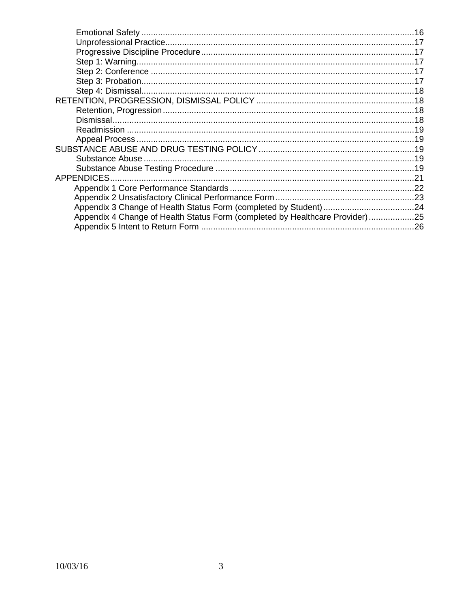| Appendix 4 Change of Health Status Form (completed by Healthcare Provider)25 |  |
|------------------------------------------------------------------------------|--|
|                                                                              |  |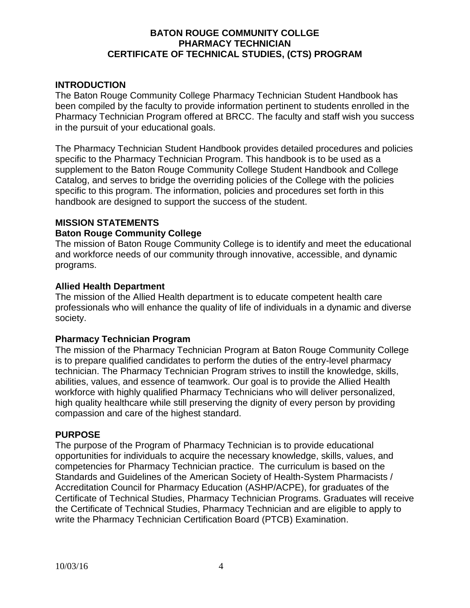#### **BATON ROUGE COMMUNITY COLLGE PHARMACY TECHNICIAN CERTIFICATE OF TECHNICAL STUDIES, (CTS) PROGRAM**

#### **INTRODUCTION**

The Baton Rouge Community College Pharmacy Technician Student Handbook has been compiled by the faculty to provide information pertinent to students enrolled in the Pharmacy Technician Program offered at BRCC. The faculty and staff wish you success in the pursuit of your educational goals.

The Pharmacy Technician Student Handbook provides detailed procedures and policies specific to the Pharmacy Technician Program. This handbook is to be used as a supplement to the Baton Rouge Community College Student Handbook and College Catalog, and serves to bridge the overriding policies of the College with the policies specific to this program. The information, policies and procedures set forth in this handbook are designed to support the success of the student.

#### **MISSION STATEMENTS**

#### **Baton Rouge Community College**

The mission of Baton Rouge Community College is to identify and meet the educational and workforce needs of our community through innovative, accessible, and dynamic programs.

#### **Allied Health Department**

The mission of the Allied Health department is to educate competent health care professionals who will enhance the quality of life of individuals in a dynamic and diverse society.

#### **Pharmacy Technician Program**

The mission of the Pharmacy Technician Program at Baton Rouge Community College is to prepare qualified candidates to perform the duties of the entry-level pharmacy technician. The Pharmacy Technician Program strives to instill the knowledge, skills, abilities, values, and essence of teamwork. Our goal is to provide the Allied Health workforce with highly qualified Pharmacy Technicians who will deliver personalized, high quality healthcare while still preserving the dignity of every person by providing compassion and care of the highest standard.

#### **PURPOSE**

The purpose of the Program of Pharmacy Technician is to provide educational opportunities for individuals to acquire the necessary knowledge, skills, values, and competencies for Pharmacy Technician practice. The curriculum is based on the Standards and Guidelines of the American Society of Health-System Pharmacists / Accreditation Council for Pharmacy Education (ASHP/ACPE), for graduates of the Certificate of Technical Studies, Pharmacy Technician Programs. Graduates will receive the Certificate of Technical Studies, Pharmacy Technician and are eligible to apply to write the Pharmacy Technician Certification Board (PTCB) Examination.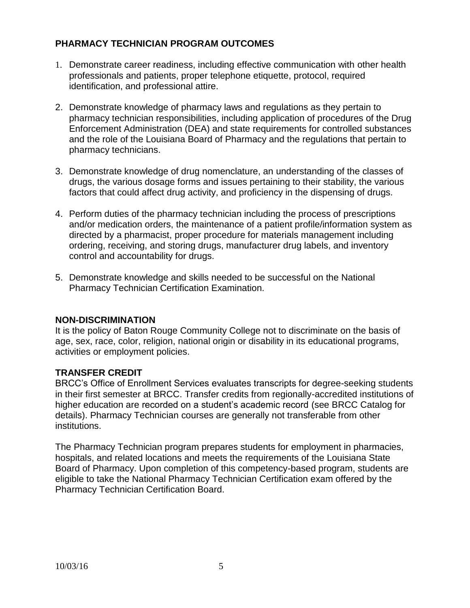## **PHARMACY TECHNICIAN PROGRAM OUTCOMES**

- 1. Demonstrate career readiness, including effective communication with other health professionals and patients, proper telephone etiquette, protocol, required identification, and professional attire.
- 2. Demonstrate knowledge of pharmacy laws and regulations as they pertain to pharmacy technician responsibilities, including application of procedures of the Drug Enforcement Administration (DEA) and state requirements for controlled substances and the role of the Louisiana Board of Pharmacy and the regulations that pertain to pharmacy technicians.
- 3. Demonstrate knowledge of drug nomenclature, an understanding of the classes of drugs, the various dosage forms and issues pertaining to their stability, the various factors that could affect drug activity, and proficiency in the dispensing of drugs.
- 4. Perform duties of the pharmacy technician including the process of prescriptions and/or medication orders, the maintenance of a patient profile/information system as directed by a pharmacist, proper procedure for materials management including ordering, receiving, and storing drugs, manufacturer drug labels, and inventory control and accountability for drugs.
- 5. Demonstrate knowledge and skills needed to be successful on the National Pharmacy Technician Certification Examination.

## **NON-DISCRIMINATION**

It is the policy of Baton Rouge Community College not to discriminate on the basis of age, sex, race, color, religion, national origin or disability in its educational programs, activities or employment policies.

## **TRANSFER CREDIT**

BRCC's Office of Enrollment Services evaluates transcripts for degree-seeking students in their first semester at BRCC. Transfer credits from regionally-accredited institutions of higher education are recorded on a student's academic record (see BRCC Catalog for details). Pharmacy Technician courses are generally not transferable from other institutions.

The Pharmacy Technician program prepares students for employment in pharmacies, hospitals, and related locations and meets the requirements of the Louisiana State Board of Pharmacy. Upon completion of this competency-based program, students are eligible to take the National Pharmacy Technician Certification exam offered by the Pharmacy Technician Certification Board.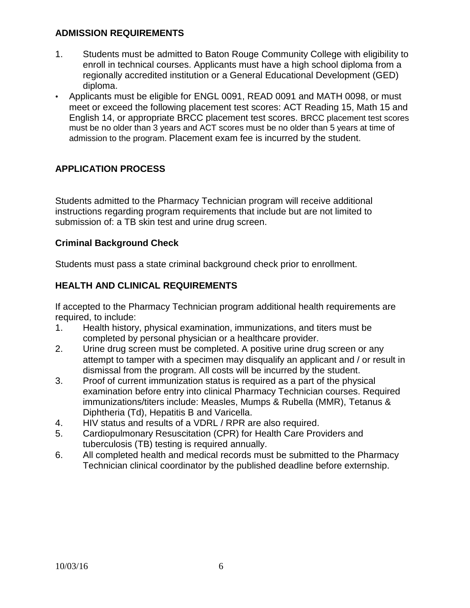## **ADMISSION REQUIREMENTS**

- 1. Students must be admitted to Baton Rouge Community College with eligibility to enroll in technical courses. Applicants must have a high school diploma from a regionally accredited institution or a General Educational Development (GED) diploma.
- Applicants must be eligible for ENGL 0091, READ 0091 and MATH 0098, or must meet or exceed the following placement test scores: ACT Reading 15, Math 15 and English 14, or appropriate BRCC placement test scores. BRCC placement test scores must be no older than 3 years and ACT scores must be no older than 5 years at time of admission to the program. Placement exam fee is incurred by the student.

## **APPLICATION PROCESS**

Students admitted to the Pharmacy Technician program will receive additional instructions regarding program requirements that include but are not limited to submission of: a TB skin test and urine drug screen.

## **Criminal Background Check**

Students must pass a state criminal background check prior to enrollment.

## **HEALTH AND CLINICAL REQUIREMENTS**

If accepted to the Pharmacy Technician program additional health requirements are required, to include:

- 1. Health history, physical examination, immunizations, and titers must be completed by personal physician or a healthcare provider.
- 2. Urine drug screen must be completed. A positive urine drug screen or any attempt to tamper with a specimen may disqualify an applicant and / or result in dismissal from the program. All costs will be incurred by the student.
- 3. Proof of current immunization status is required as a part of the physical examination before entry into clinical Pharmacy Technician courses. Required immunizations/titers include: Measles, Mumps & Rubella (MMR), Tetanus & Diphtheria (Td), Hepatitis B and Varicella.
- 4. HIV status and results of a VDRL / RPR are also required.
- 5. Cardiopulmonary Resuscitation (CPR) for Health Care Providers and tuberculosis (TB) testing is required annually.
- 6. All completed health and medical records must be submitted to the Pharmacy Technician clinical coordinator by the published deadline before externship.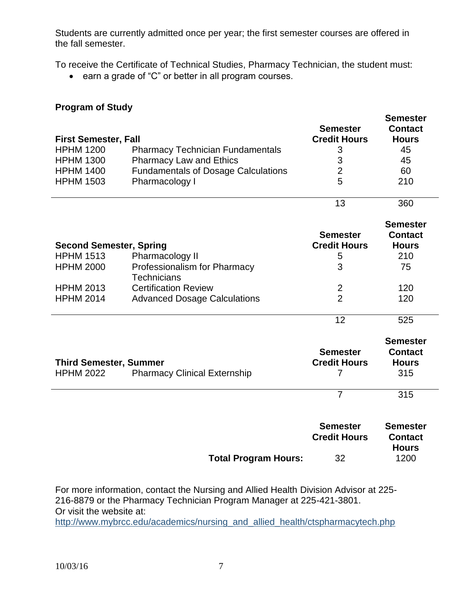Students are currently admitted once per year; the first semester courses are offered in the fall semester.

To receive the Certificate of Technical Studies, Pharmacy Technician, the student must:

earn a grade of "C" or better in all program courses.

### **Program of Study**

|                                |                                            |                                        | <b>Semester</b>                   |
|--------------------------------|--------------------------------------------|----------------------------------------|-----------------------------------|
| <b>First Semester, Fall</b>    |                                            | <b>Semester</b><br><b>Credit Hours</b> | <b>Contact</b><br><b>Hours</b>    |
| <b>HPHM 1200</b>               |                                            |                                        | 45                                |
|                                | <b>Pharmacy Technician Fundamentals</b>    | 3                                      |                                   |
| <b>HPHM 1300</b>               | <b>Pharmacy Law and Ethics</b>             | 3                                      | 45                                |
| <b>HPHM 1400</b>               | <b>Fundamentals of Dosage Calculations</b> | $\overline{2}$                         | 60                                |
| <b>HPHM 1503</b>               | Pharmacology I                             | 5                                      | 210                               |
|                                |                                            | 13                                     | 360                               |
|                                |                                            |                                        | <b>Semester</b>                   |
|                                |                                            | <b>Semester</b>                        | <b>Contact</b>                    |
| <b>Second Semester, Spring</b> |                                            | <b>Credit Hours</b>                    | <b>Hours</b>                      |
| <b>HPHM 1513</b>               | Pharmacology II                            | 5                                      | 210                               |
| <b>HPHM 2000</b>               | Professionalism for Pharmacy               | 3                                      | 75                                |
|                                | <b>Technicians</b>                         |                                        |                                   |
| <b>HPHM 2013</b>               | <b>Certification Review</b>                | $\overline{2}$                         | 120                               |
| <b>HPHM 2014</b>               | <b>Advanced Dosage Calculations</b>        | $\overline{2}$                         | 120                               |
|                                |                                            | 12                                     | 525                               |
|                                |                                            |                                        |                                   |
|                                |                                            |                                        | <b>Semester</b>                   |
|                                |                                            | <b>Semester</b>                        | <b>Contact</b>                    |
| <b>Third Semester, Summer</b>  |                                            | <b>Credit Hours</b>                    | <b>Hours</b>                      |
| <b>HPHM 2022</b>               | <b>Pharmacy Clinical Externship</b>        | 7                                      | 315                               |
|                                |                                            | $\overline{7}$                         | 315                               |
|                                |                                            | <b>Semester</b><br><b>Credit Hours</b> | <b>Semester</b><br><b>Contact</b> |

|                      |    | <b>Hours</b> |
|----------------------|----|--------------|
| Total Program Hours: | 32 | 1200         |

For more information, contact the Nursing and Allied Health Division Advisor at 225- 216-8879 or the Pharmacy Technician Program Manager at 225-421-3801. Or visit the website at:

http://www.mybrcc.edu/academics/nursing\_and\_allied\_health/ctspharmacytech.php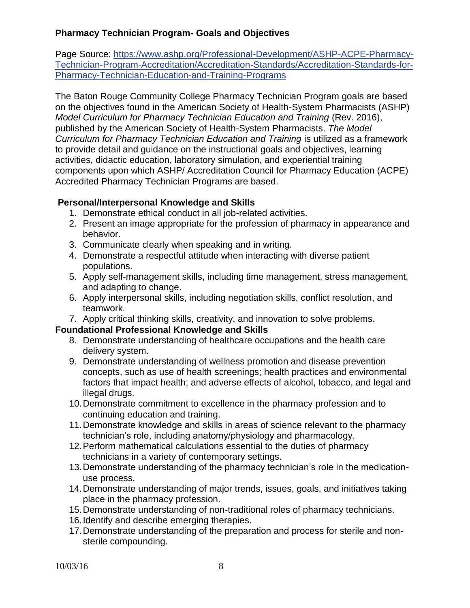## **Pharmacy Technician Program- Goals and Objectives**

Page Source: [https://www.ashp.org/Professional-Development/ASHP-ACPE-Pharmacy-](https://www.ashp.org/Professional-Development/ASHP-ACPE-Pharmacy-Technician-Program-Accreditation/Accreditation-Standards/Accreditation-Standards-for-Pharmacy-Technician-Education-and-Training-Programs)[Technician-Program-Accreditation/Accreditation-Standards/Accreditation-Standards-for-](https://www.ashp.org/Professional-Development/ASHP-ACPE-Pharmacy-Technician-Program-Accreditation/Accreditation-Standards/Accreditation-Standards-for-Pharmacy-Technician-Education-and-Training-Programs)[Pharmacy-Technician-Education-and-Training-Programs](https://www.ashp.org/Professional-Development/ASHP-ACPE-Pharmacy-Technician-Program-Accreditation/Accreditation-Standards/Accreditation-Standards-for-Pharmacy-Technician-Education-and-Training-Programs)

The Baton Rouge Community College Pharmacy Technician Program goals are based on the objectives found in the American Society of Health-System Pharmacists (ASHP) *Model Curriculum for Pharmacy Technician Education and Training* (Rev. 2016), published by the American Society of Health-System Pharmacists. *The Model Curriculum for Pharmacy Technician Education and Training* is utilized as a framework to provide detail and guidance on the instructional goals and objectives, learning activities, didactic education, laboratory simulation, and experiential training components upon which ASHP/ Accreditation Council for Pharmacy Education (ACPE) Accredited Pharmacy Technician Programs are based.

#### **Personal/Interpersonal Knowledge and Skills**

- 1. Demonstrate ethical conduct in all job-related activities.
- 2. Present an image appropriate for the profession of pharmacy in appearance and behavior.
- 3. Communicate clearly when speaking and in writing.
- 4. Demonstrate a respectful attitude when interacting with diverse patient populations.
- 5. Apply self-management skills, including time management, stress management, and adapting to change.
- 6. Apply interpersonal skills, including negotiation skills, conflict resolution, and teamwork.
- 7. Apply critical thinking skills, creativity, and innovation to solve problems.

## **Foundational Professional Knowledge and Skills**

- 8. Demonstrate understanding of healthcare occupations and the health care delivery system.
- 9. Demonstrate understanding of wellness promotion and disease prevention concepts, such as use of health screenings; health practices and environmental factors that impact health; and adverse effects of alcohol, tobacco, and legal and illegal drugs.
- 10.Demonstrate commitment to excellence in the pharmacy profession and to continuing education and training.
- 11.Demonstrate knowledge and skills in areas of science relevant to the pharmacy technician's role, including anatomy/physiology and pharmacology.
- 12.Perform mathematical calculations essential to the duties of pharmacy technicians in a variety of contemporary settings.
- 13.Demonstrate understanding of the pharmacy technician's role in the medicationuse process.
- 14.Demonstrate understanding of major trends, issues, goals, and initiatives taking place in the pharmacy profession.
- 15.Demonstrate understanding of non-traditional roles of pharmacy technicians.
- 16.Identify and describe emerging therapies.
- 17.Demonstrate understanding of the preparation and process for sterile and nonsterile compounding.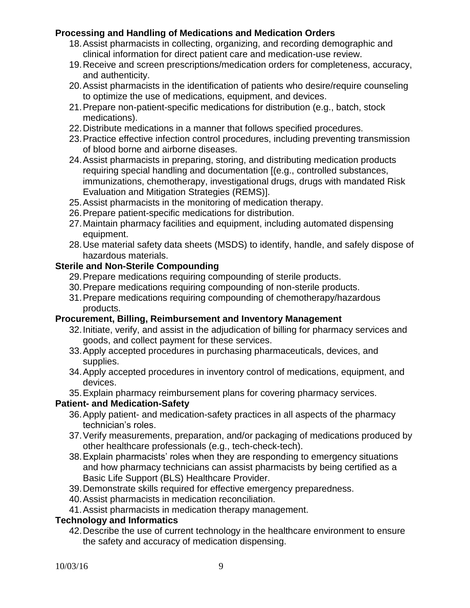## **Processing and Handling of Medications and Medication Orders**

- 18.Assist pharmacists in collecting, organizing, and recording demographic and clinical information for direct patient care and medication-use review.
- 19.Receive and screen prescriptions/medication orders for completeness, accuracy, and authenticity.
- 20.Assist pharmacists in the identification of patients who desire/require counseling to optimize the use of medications, equipment, and devices.
- 21.Prepare non-patient-specific medications for distribution (e.g., batch, stock medications).
- 22.Distribute medications in a manner that follows specified procedures.
- 23.Practice effective infection control procedures, including preventing transmission of blood borne and airborne diseases.
- 24.Assist pharmacists in preparing, storing, and distributing medication products requiring special handling and documentation [(e.g., controlled substances, immunizations, chemotherapy, investigational drugs, drugs with mandated Risk Evaluation and Mitigation Strategies (REMS)].
- 25.Assist pharmacists in the monitoring of medication therapy.
- 26.Prepare patient-specific medications for distribution.
- 27.Maintain pharmacy facilities and equipment, including automated dispensing equipment.
- 28.Use material safety data sheets (MSDS) to identify, handle, and safely dispose of hazardous materials.

## **Sterile and Non-Sterile Compounding**

- 29.Prepare medications requiring compounding of sterile products.
- 30.Prepare medications requiring compounding of non-sterile products.
- 31.Prepare medications requiring compounding of chemotherapy/hazardous products.

## **Procurement, Billing, Reimbursement and Inventory Management**

- 32.Initiate, verify, and assist in the adjudication of billing for pharmacy services and goods, and collect payment for these services.
- 33.Apply accepted procedures in purchasing pharmaceuticals, devices, and supplies.
- 34.Apply accepted procedures in inventory control of medications, equipment, and devices.
- 35.Explain pharmacy reimbursement plans for covering pharmacy services.

## **Patient- and Medication-Safety**

- 36.Apply patient- and medication-safety practices in all aspects of the pharmacy technician's roles.
- 37.Verify measurements, preparation, and/or packaging of medications produced by other healthcare professionals (e.g., tech-check-tech).
- 38.Explain pharmacists' roles when they are responding to emergency situations and how pharmacy technicians can assist pharmacists by being certified as a Basic Life Support (BLS) Healthcare Provider.
- 39.Demonstrate skills required for effective emergency preparedness.
- 40.Assist pharmacists in medication reconciliation.
- 41.Assist pharmacists in medication therapy management.

#### **Technology and Informatics**

42.Describe the use of current technology in the healthcare environment to ensure the safety and accuracy of medication dispensing.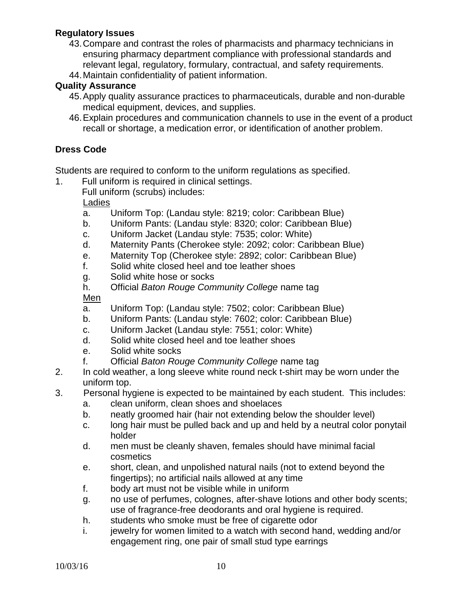#### **Regulatory Issues**

- 43.Compare and contrast the roles of pharmacists and pharmacy technicians in ensuring pharmacy department compliance with professional standards and relevant legal, regulatory, formulary, contractual, and safety requirements.
- 44.Maintain confidentiality of patient information.

#### **Quality Assurance**

- 45.Apply quality assurance practices to pharmaceuticals, durable and non-durable medical equipment, devices, and supplies.
- 46.Explain procedures and communication channels to use in the event of a product recall or shortage, a medication error, or identification of another problem.

#### **Dress Code**

Students are required to conform to the uniform regulations as specified.

- 1. Full uniform is required in clinical settings.
	- Full uniform (scrubs) includes:

Ladies

- a. Uniform Top: (Landau style: 8219; color: Caribbean Blue)
- b. Uniform Pants: (Landau style: 8320; color: Caribbean Blue)
- c. Uniform Jacket (Landau style: 7535; color: White)
- d. Maternity Pants (Cherokee style: 2092; color: Caribbean Blue)
- e. Maternity Top (Cherokee style: 2892; color: Caribbean Blue)
- f. Solid white closed heel and toe leather shoes
- g. Solid white hose or socks
- h. Official *Baton Rouge Community College* name tag

Men

- a. Uniform Top: (Landau style: 7502; color: Caribbean Blue)
- b. Uniform Pants: (Landau style: 7602; color: Caribbean Blue)
- c. Uniform Jacket (Landau style: 7551; color: White)
- d. Solid white closed heel and toe leather shoes
- e. Solid white socks
- f. Official *Baton Rouge Community College* name tag
- 2. In cold weather, a long sleeve white round neck t-shirt may be worn under the uniform top.
- 3. Personal hygiene is expected to be maintained by each student. This includes:
	- a. clean uniform, clean shoes and shoelaces
	- b. neatly groomed hair (hair not extending below the shoulder level)
	- c. long hair must be pulled back and up and held by a neutral color ponytail holder
	- d. men must be cleanly shaven, females should have minimal facial cosmetics
	- e. short, clean, and unpolished natural nails (not to extend beyond the fingertips); no artificial nails allowed at any time
	- f. body art must not be visible while in uniform
	- g. no use of perfumes, colognes, after-shave lotions and other body scents; use of fragrance-free deodorants and oral hygiene is required.
	- h. students who smoke must be free of cigarette odor
	- i. jewelry for women limited to a watch with second hand, wedding and/or engagement ring, one pair of small stud type earrings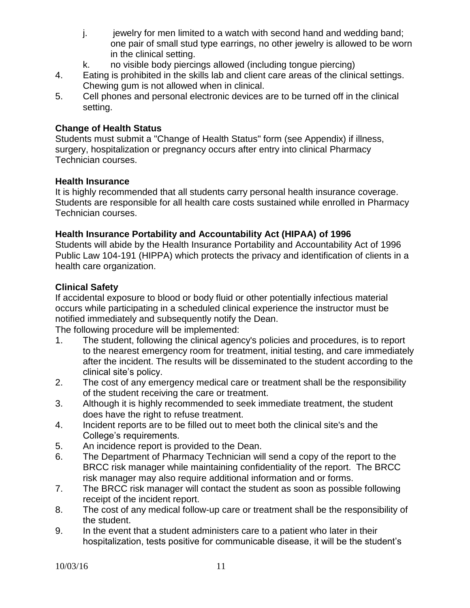- j. jewelry for men limited to a watch with second hand and wedding band; one pair of small stud type earrings, no other jewelry is allowed to be worn in the clinical setting.
- k. no visible body piercings allowed (including tongue piercing)
- 4. Eating is prohibited in the skills lab and client care areas of the clinical settings. Chewing gum is not allowed when in clinical.
- 5. Cell phones and personal electronic devices are to be turned off in the clinical setting.

#### **Change of Health Status**

Students must submit a "Change of Health Status" form (see Appendix) if illness, surgery, hospitalization or pregnancy occurs after entry into clinical Pharmacy Technician courses.

#### **Health Insurance**

It is highly recommended that all students carry personal health insurance coverage. Students are responsible for all health care costs sustained while enrolled in Pharmacy Technician courses.

## **Health Insurance Portability and Accountability Act (HIPAA) of 1996**

Students will abide by the Health Insurance Portability and Accountability Act of 1996 Public Law 104-191 (HIPPA) which protects the privacy and identification of clients in a health care organization.

## **Clinical Safety**

If accidental exposure to blood or body fluid or other potentially infectious material occurs while participating in a scheduled clinical experience the instructor must be notified immediately and subsequently notify the Dean.

The following procedure will be implemented:

- 1. The student, following the clinical agency's policies and procedures, is to report to the nearest emergency room for treatment, initial testing, and care immediately after the incident. The results will be disseminated to the student according to the clinical site's policy.
- 2. The cost of any emergency medical care or treatment shall be the responsibility of the student receiving the care or treatment.
- 3. Although it is highly recommended to seek immediate treatment, the student does have the right to refuse treatment.
- 4. Incident reports are to be filled out to meet both the clinical site's and the College's requirements.
- 5. An incidence report is provided to the Dean.
- 6. The Department of Pharmacy Technician will send a copy of the report to the BRCC risk manager while maintaining confidentiality of the report. The BRCC risk manager may also require additional information and or forms.
- 7. The BRCC risk manager will contact the student as soon as possible following receipt of the incident report.
- 8. The cost of any medical follow-up care or treatment shall be the responsibility of the student.
- 9. In the event that a student administers care to a patient who later in their hospitalization, tests positive for communicable disease, it will be the student's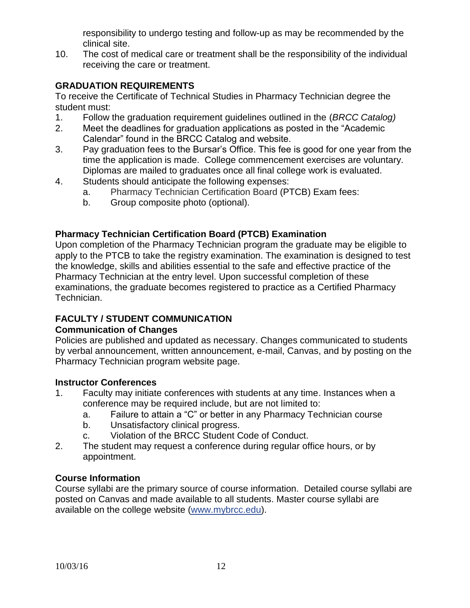responsibility to undergo testing and follow-up as may be recommended by the clinical site.

10. The cost of medical care or treatment shall be the responsibility of the individual receiving the care or treatment.

## **GRADUATION REQUIREMENTS**

To receive the Certificate of Technical Studies in Pharmacy Technician degree the student must:

- 1. Follow the graduation requirement guidelines outlined in the (*BRCC Catalog)*
- 2. Meet the deadlines for graduation applications as posted in the "Academic Calendar" found in the BRCC Catalog and website.
- 3. Pay graduation fees to the Bursar's Office. This fee is good for one year from the time the application is made. College commencement exercises are voluntary. Diplomas are mailed to graduates once all final college work is evaluated.
- 4. Students should anticipate the following expenses:
	- a. Pharmacy Technician Certification Board (PTCB) Exam fees:
	- b. Group composite photo (optional).

## **Pharmacy Technician Certification Board (PTCB) Examination**

Upon completion of the Pharmacy Technician program the graduate may be eligible to apply to the PTCB to take the registry examination. The examination is designed to test the knowledge, skills and abilities essential to the safe and effective practice of the Pharmacy Technician at the entry level. Upon successful completion of these examinations, the graduate becomes registered to practice as a Certified Pharmacy Technician.

## **FACULTY / STUDENT COMMUNICATION**

## **Communication of Changes**

Policies are published and updated as necessary. Changes communicated to students by verbal announcement, written announcement, e-mail, Canvas, and by posting on the Pharmacy Technician program website page.

## **Instructor Conferences**

- 1. Faculty may initiate conferences with students at any time. Instances when a conference may be required include, but are not limited to:
	- a. Failure to attain a "C" or better in any Pharmacy Technician course
	- b. Unsatisfactory clinical progress.
	- c. Violation of the BRCC Student Code of Conduct.
- 2. The student may request a conference during regular office hours, or by appointment.

## **Course Information**

Course syllabi are the primary source of course information. Detailed course syllabi are posted on Canvas and made available to all students. Master course syllabi are available on the college website [\(www.mybrcc.edu\)](http://www.mybrcc.edu/).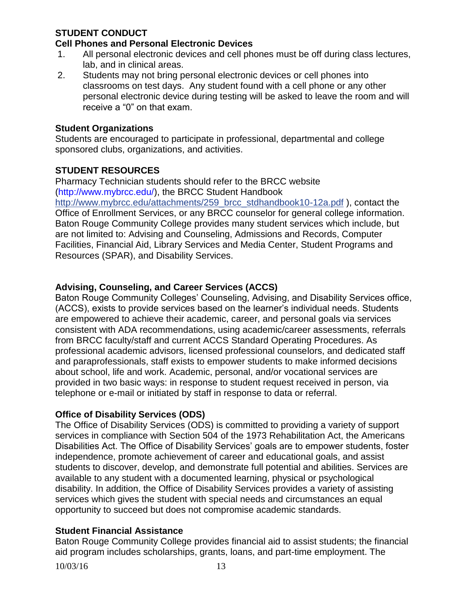### **STUDENT CONDUCT**

#### **Cell Phones and Personal Electronic Devices**

- 1. All personal electronic devices and cell phones must be off during class lectures, lab, and in clinical areas.
- 2. Students may not bring personal electronic devices or cell phones into classrooms on test days. Any student found with a cell phone or any other personal electronic device during testing will be asked to leave the room and will receive a "0" on that exam.

#### **Student Organizations**

Students are encouraged to participate in professional, departmental and college sponsored clubs, organizations, and activities.

#### **STUDENT RESOURCES**

Pharmacy Technician students should refer to the BRCC website (http://www.mybrcc.edu/), the BRCC Student Handbook [http://www.mybrcc.edu/attachments/259\\_brcc\\_stdhandbook10-12a.pdf](http://www.mybrcc.edu/attachments/259_brcc_stdhandbook10-12a.pdf) ), contact the Office of Enrollment Services, or any BRCC counselor for general college information. Baton Rouge Community College provides many student services which include, but are not limited to: Advising and Counseling, Admissions and Records, Computer Facilities, Financial Aid, Library Services and Media Center, Student Programs and Resources (SPAR), and Disability Services.

#### **Advising, Counseling, and Career Services (ACCS)**

Baton Rouge Community Colleges' Counseling, Advising, and Disability Services office, (ACCS), exists to provide services based on the learner's individual needs. Students are empowered to achieve their academic, career, and personal goals via services consistent with ADA recommendations, using academic/career assessments, referrals from BRCC faculty/staff and current ACCS Standard Operating Procedures. As professional academic advisors, licensed professional counselors, and dedicated staff and paraprofessionals, staff exists to empower students to make informed decisions about school, life and work. Academic, personal, and/or vocational services are provided in two basic ways: in response to student request received in person, via telephone or e-mail or initiated by staff in response to data or referral.

#### **Office of Disability Services (ODS)**

The Office of Disability Services (ODS) is committed to providing a variety of support services in compliance with Section 504 of the 1973 Rehabilitation Act, the Americans Disabilities Act. The Office of Disability Services' goals are to empower students, foster independence, promote achievement of career and educational goals, and assist students to discover, develop, and demonstrate full potential and abilities. Services are available to any student with a documented learning, physical or psychological disability. In addition, the Office of Disability Services provides a variety of assisting services which gives the student with special needs and circumstances an equal opportunity to succeed but does not compromise academic standards.

#### **Student Financial Assistance**

Baton Rouge Community College provides financial aid to assist students; the financial aid program includes scholarships, grants, loans, and part-time employment. The

10/03/16 13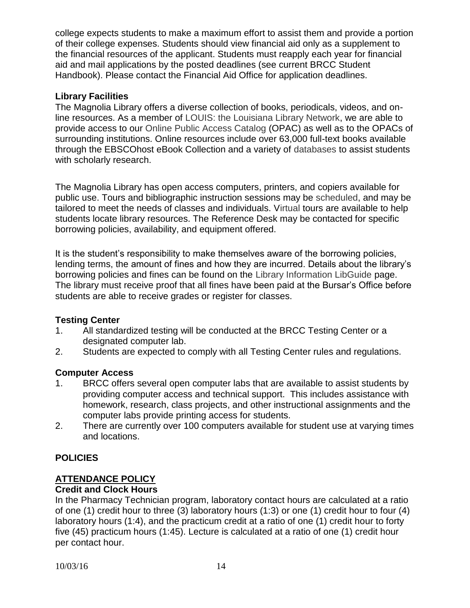college expects students to make a maximum effort to assist them and provide a portion of their college expenses. Students should view financial aid only as a supplement to the financial resources of the applicant. Students must reapply each year for financial aid and mail applications by the posted deadlines (see current BRCC Student Handbook). Please contact the Financial Aid Office for application deadlines.

## **Library Facilities**

The Magnolia Library offers a diverse collection of books, periodicals, videos, and online resources. As a member of [LOUIS: the Louisiana Library Network,](https://sites01.lsu.edu/wp/louis/) we are able to provide access to our [Online Public Access Catalog](http://brcc.louislibraries.org/uhtbin/webcat) (OPAC) as well as to the OPACs of surrounding institutions. Online resources include over 63,000 full-text books available through the EBSCOhost eBook Collection and a variety of [databases](http://www.mybrcc.edu/index.php?option=com_weblinks&view=category&id=74&Itemid=133) to assist students with scholarly research.

The Magnolia Library has open access computers, printers, and copiers available for public use. Tours and bibliographic instruction sessions may be [scheduled,](http://www.mybrcc.edu/attachments/163_BIForm.doc) and may be tailored to meet the needs of classes and individuals. [Virtual](http://www.mybrcc.edu/attachments/155_tourpp.ppt) tours are available to help students locate library resources. The Reference Desk may be contacted for specific borrowing policies, availability, and equipment offered.

It is the student's responsibility to make themselves aware of the borrowing policies, lending terms, the amount of fines and how they are incurred. Details about the library's borrowing policies and fines can be found on the [Library Information LibGuide](http://guides.mybrcc.edu/libraryinfo) page. The library must receive proof that all fines have been paid at the Bursar's Office before students are able to receive grades or register for classes.

## **Testing Center**

- 1. All standardized testing will be conducted at the BRCC Testing Center or a designated computer lab.
- 2. Students are expected to comply with all Testing Center rules and regulations.

## **Computer Access**

- 1. BRCC offers several open computer labs that are available to assist students by providing computer access and technical support. This includes assistance with homework, research, class projects, and other instructional assignments and the computer labs provide printing access for students.
- 2. There are currently over 100 computers available for student use at varying times and locations.

## **POLICIES**

## **ATTENDANCE POLICY**

## **Credit and Clock Hours**

In the Pharmacy Technician program, laboratory contact hours are calculated at a ratio of one (1) credit hour to three (3) laboratory hours (1:3) or one (1) credit hour to four (4) laboratory hours (1:4), and the practicum credit at a ratio of one (1) credit hour to forty five (45) practicum hours (1:45). Lecture is calculated at a ratio of one (1) credit hour per contact hour.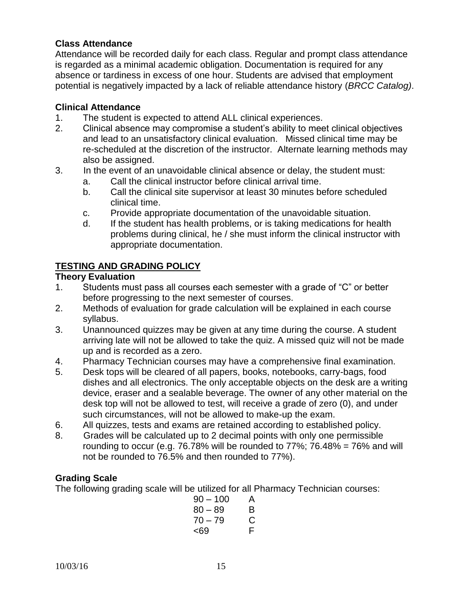#### **Class Attendance**

Attendance will be recorded daily for each class. Regular and prompt class attendance is regarded as a minimal academic obligation. Documentation is required for any absence or tardiness in excess of one hour. Students are advised that employment potential is negatively impacted by a lack of reliable attendance history (*BRCC Catalog)*.

#### **Clinical Attendance**

- 1. The student is expected to attend ALL clinical experiences.
- 2. Clinical absence may compromise a student's ability to meet clinical objectives and lead to an unsatisfactory clinical evaluation. Missed clinical time may be re-scheduled at the discretion of the instructor. Alternate learning methods may also be assigned.
- 3. In the event of an unavoidable clinical absence or delay, the student must:
	- a. Call the clinical instructor before clinical arrival time.
	- b. Call the clinical site supervisor at least 30 minutes before scheduled clinical time.
	- c. Provide appropriate documentation of the unavoidable situation.
	- d. If the student has health problems, or is taking medications for health problems during clinical, he / she must inform the clinical instructor with appropriate documentation.

#### **TESTING AND GRADING POLICY**

#### **Theory Evaluation**

- 1. Students must pass all courses each semester with a grade of "C" or better before progressing to the next semester of courses.
- 2. Methods of evaluation for grade calculation will be explained in each course syllabus.
- 3. Unannounced quizzes may be given at any time during the course. A student arriving late will not be allowed to take the quiz. A missed quiz will not be made up and is recorded as a zero.
- 4. Pharmacy Technician courses may have a comprehensive final examination.
- 5. Desk tops will be cleared of all papers, books, notebooks, carry-bags, food dishes and all electronics. The only acceptable objects on the desk are a writing device, eraser and a sealable beverage. The owner of any other material on the desk top will not be allowed to test, will receive a grade of zero (0), and under such circumstances, will not be allowed to make-up the exam.
- 6. All quizzes, tests and exams are retained according to established policy.
- 8. Grades will be calculated up to 2 decimal points with only one permissible rounding to occur (e.g. 76.78% will be rounded to  $77\%$ ; 76.48% = 76% and will not be rounded to 76.5% and then rounded to 77%).

## **Grading Scale**

The following grading scale will be utilized for all Pharmacy Technician courses:

| $90 - 100$ | А |
|------------|---|
| $80 - 89$  | в |
| $70 - 79$  | С |
| <69        | F |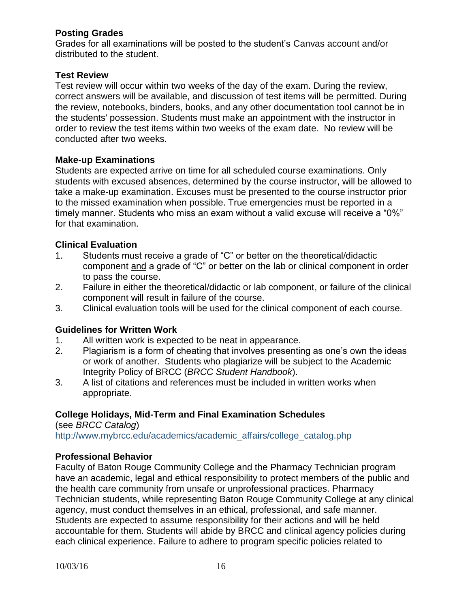### **Posting Grades**

Grades for all examinations will be posted to the student's Canvas account and/or distributed to the student.

### **Test Review**

Test review will occur within two weeks of the day of the exam. During the review, correct answers will be available, and discussion of test items will be permitted. During the review, notebooks, binders, books, and any other documentation tool cannot be in the students' possession. Students must make an appointment with the instructor in order to review the test items within two weeks of the exam date. No review will be conducted after two weeks.

#### **Make-up Examinations**

Students are expected arrive on time for all scheduled course examinations. Only students with excused absences, determined by the course instructor, will be allowed to take a make-up examination. Excuses must be presented to the course instructor prior to the missed examination when possible. True emergencies must be reported in a timely manner. Students who miss an exam without a valid excuse will receive a "0%" for that examination.

#### **Clinical Evaluation**

- 1. Students must receive a grade of "C" or better on the theoretical/didactic component and a grade of "C" or better on the lab or clinical component in order to pass the course.
- 2. Failure in either the theoretical/didactic or lab component, or failure of the clinical component will result in failure of the course.
- 3. Clinical evaluation tools will be used for the clinical component of each course.

#### **Guidelines for Written Work**

- 1. All written work is expected to be neat in appearance.
- 2. Plagiarism is a form of cheating that involves presenting as one's own the ideas or work of another. Students who plagiarize will be subject to the Academic Integrity Policy of BRCC (*BRCC Student Handbook*).
- 3. A list of citations and references must be included in written works when appropriate.

## **College Holidays, Mid-Term and Final Examination Schedules**

(see *BRCC Catalog*) http://www.mybrcc.edu/academics/academic\_affairs/college\_catalog.php

#### **Professional Behavior**

Faculty of Baton Rouge Community College and the Pharmacy Technician program have an academic, legal and ethical responsibility to protect members of the public and the health care community from unsafe or unprofessional practices. Pharmacy Technician students, while representing Baton Rouge Community College at any clinical agency, must conduct themselves in an ethical, professional, and safe manner. Students are expected to assume responsibility for their actions and will be held accountable for them. Students will abide by BRCC and clinical agency policies during each clinical experience. Failure to adhere to program specific policies related to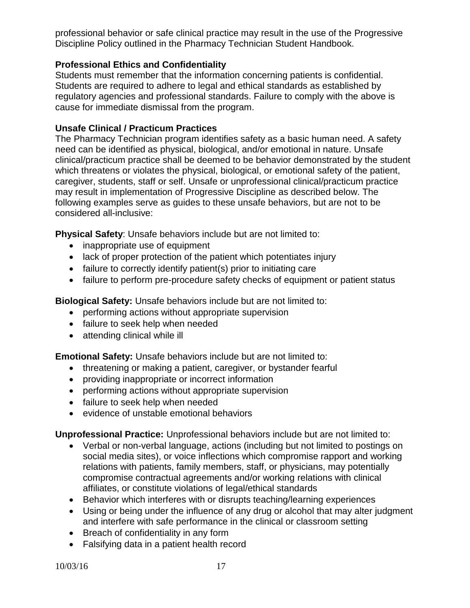professional behavior or safe clinical practice may result in the use of the Progressive Discipline Policy outlined in the Pharmacy Technician Student Handbook.

## **Professional Ethics and Confidentiality**

Students must remember that the information concerning patients is confidential. Students are required to adhere to legal and ethical standards as established by regulatory agencies and professional standards. Failure to comply with the above is cause for immediate dismissal from the program.

#### **Unsafe Clinical / Practicum Practices**

The Pharmacy Technician program identifies safety as a basic human need. A safety need can be identified as physical, biological, and/or emotional in nature. Unsafe clinical/practicum practice shall be deemed to be behavior demonstrated by the student which threatens or violates the physical, biological, or emotional safety of the patient, caregiver, students, staff or self. Unsafe or unprofessional clinical/practicum practice may result in implementation of Progressive Discipline as described below. The following examples serve as guides to these unsafe behaviors, but are not to be considered all-inclusive:

**Physical Safety**: Unsafe behaviors include but are not limited to:

- inappropriate use of equipment
- lack of proper protection of the patient which potentiates injury
- failure to correctly identify patient(s) prior to initiating care
- failure to perform pre-procedure safety checks of equipment or patient status

**Biological Safety:** Unsafe behaviors include but are not limited to:

- performing actions without appropriate supervision
- failure to seek help when needed
- attending clinical while ill

**Emotional Safety:** Unsafe behaviors include but are not limited to:

- threatening or making a patient, caregiver, or bystander fearful
- providing inappropriate or incorrect information
- performing actions without appropriate supervision
- failure to seek help when needed
- evidence of unstable emotional behaviors

**Unprofessional Practice:** Unprofessional behaviors include but are not limited to:

- Verbal or non-verbal language, actions (including but not limited to postings on social media sites), or voice inflections which compromise rapport and working relations with patients, family members, staff, or physicians, may potentially compromise contractual agreements and/or working relations with clinical affiliates, or constitute violations of legal/ethical standards
- Behavior which interferes with or disrupts teaching/learning experiences
- Using or being under the influence of any drug or alcohol that may alter judgment and interfere with safe performance in the clinical or classroom setting
- Breach of confidentiality in any form
- Falsifying data in a patient health record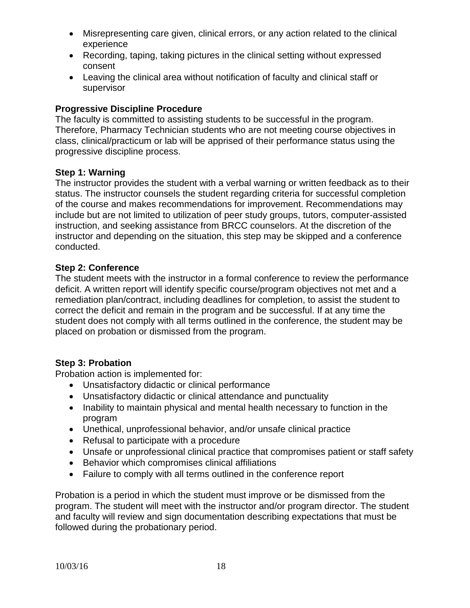- Misrepresenting care given, clinical errors, or any action related to the clinical experience
- Recording, taping, taking pictures in the clinical setting without expressed consent
- Leaving the clinical area without notification of faculty and clinical staff or supervisor

## **Progressive Discipline Procedure**

The faculty is committed to assisting students to be successful in the program. Therefore, Pharmacy Technician students who are not meeting course objectives in class, clinical/practicum or lab will be apprised of their performance status using the progressive discipline process.

## **Step 1: Warning**

The instructor provides the student with a verbal warning or written feedback as to their status. The instructor counsels the student regarding criteria for successful completion of the course and makes recommendations for improvement. Recommendations may include but are not limited to utilization of peer study groups, tutors, computer-assisted instruction, and seeking assistance from BRCC counselors. At the discretion of the instructor and depending on the situation, this step may be skipped and a conference conducted.

## **Step 2: Conference**

The student meets with the instructor in a formal conference to review the performance deficit. A written report will identify specific course/program objectives not met and a remediation plan/contract, including deadlines for completion, to assist the student to correct the deficit and remain in the program and be successful. If at any time the student does not comply with all terms outlined in the conference, the student may be placed on probation or dismissed from the program.

## **Step 3: Probation**

Probation action is implemented for:

- Unsatisfactory didactic or clinical performance
- Unsatisfactory didactic or clinical attendance and punctuality
- Inability to maintain physical and mental health necessary to function in the program
- Unethical, unprofessional behavior, and/or unsafe clinical practice
- Refusal to participate with a procedure
- Unsafe or unprofessional clinical practice that compromises patient or staff safety
- Behavior which compromises clinical affiliations
- Failure to comply with all terms outlined in the conference report

Probation is a period in which the student must improve or be dismissed from the program. The student will meet with the instructor and/or program director. The student and faculty will review and sign documentation describing expectations that must be followed during the probationary period.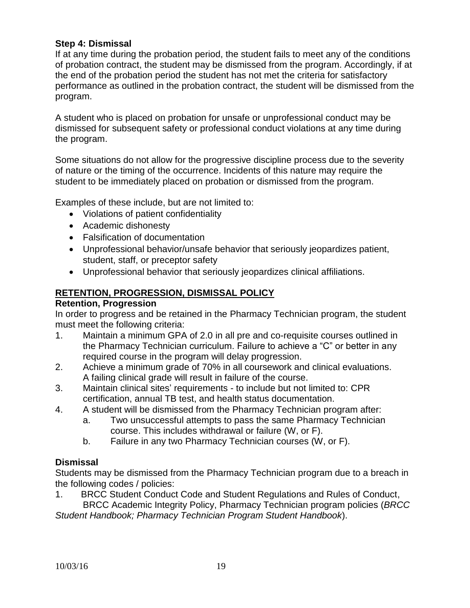#### **Step 4: Dismissal**

If at any time during the probation period, the student fails to meet any of the conditions of probation contract, the student may be dismissed from the program. Accordingly, if at the end of the probation period the student has not met the criteria for satisfactory performance as outlined in the probation contract, the student will be dismissed from the program.

A student who is placed on probation for unsafe or unprofessional conduct may be dismissed for subsequent safety or professional conduct violations at any time during the program.

Some situations do not allow for the progressive discipline process due to the severity of nature or the timing of the occurrence. Incidents of this nature may require the student to be immediately placed on probation or dismissed from the program.

Examples of these include, but are not limited to:

- Violations of patient confidentiality
- Academic dishonesty
- Falsification of documentation
- Unprofessional behavior/unsafe behavior that seriously jeopardizes patient, student, staff, or preceptor safety
- Unprofessional behavior that seriously jeopardizes clinical affiliations.

## **RETENTION, PROGRESSION, DISMISSAL POLICY**

#### **Retention, Progression**

In order to progress and be retained in the Pharmacy Technician program, the student must meet the following criteria:

- 1. Maintain a minimum GPA of 2.0 in all pre and co-requisite courses outlined in the Pharmacy Technician curriculum. Failure to achieve a "C" or better in any required course in the program will delay progression.
- 2. Achieve a minimum grade of 70% in all coursework and clinical evaluations. A failing clinical grade will result in failure of the course.
- 3. Maintain clinical sites' requirements to include but not limited to: CPR certification, annual TB test, and health status documentation.
- 4. A student will be dismissed from the Pharmacy Technician program after:
	- a. Two unsuccessful attempts to pass the same Pharmacy Technician course. This includes withdrawal or failure (W, or F).
	- b. Failure in any two Pharmacy Technician courses (W, or F).

## **Dismissal**

Students may be dismissed from the Pharmacy Technician program due to a breach in the following codes / policies:

1. BRCC Student Conduct Code and Student Regulations and Rules of Conduct, BRCC Academic Integrity Policy, Pharmacy Technician program policies (*BRCC* 

*Student Handbook; Pharmacy Technician Program Student Handbook*).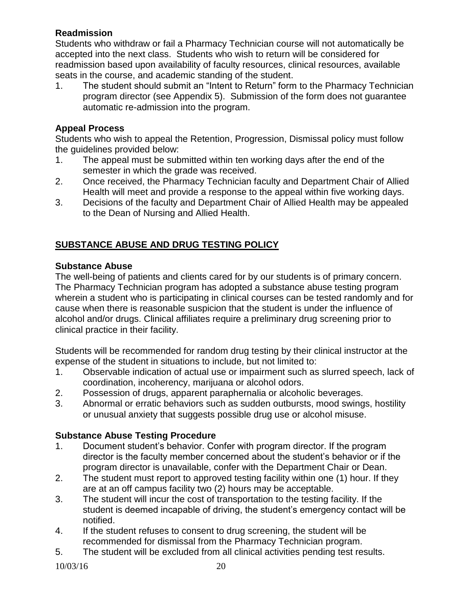## **Readmission**

Students who withdraw or fail a Pharmacy Technician course will not automatically be accepted into the next class. Students who wish to return will be considered for readmission based upon availability of faculty resources, clinical resources, available seats in the course, and academic standing of the student.

1. The student should submit an "Intent to Return" form to the Pharmacy Technician program director (see Appendix 5). Submission of the form does not guarantee automatic re-admission into the program.

## **Appeal Process**

Students who wish to appeal the Retention, Progression, Dismissal policy must follow the guidelines provided below:

- 1. The appeal must be submitted within ten working days after the end of the semester in which the grade was received.
- 2. Once received, the Pharmacy Technician faculty and Department Chair of Allied Health will meet and provide a response to the appeal within five working days.
- 3. Decisions of the faculty and Department Chair of Allied Health may be appealed to the Dean of Nursing and Allied Health.

## **SUBSTANCE ABUSE AND DRUG TESTING POLICY**

## **Substance Abuse**

The well-being of patients and clients cared for by our students is of primary concern. The Pharmacy Technician program has adopted a substance abuse testing program wherein a student who is participating in clinical courses can be tested randomly and for cause when there is reasonable suspicion that the student is under the influence of alcohol and/or drugs. Clinical affiliates require a preliminary drug screening prior to clinical practice in their facility.

Students will be recommended for random drug testing by their clinical instructor at the expense of the student in situations to include, but not limited to:

- 1. Observable indication of actual use or impairment such as slurred speech, lack of coordination, incoherency, marijuana or alcohol odors.
- 2. Possession of drugs, apparent paraphernalia or alcoholic beverages.
- 3. Abnormal or erratic behaviors such as sudden outbursts, mood swings, hostility or unusual anxiety that suggests possible drug use or alcohol misuse.

## **Substance Abuse Testing Procedure**

- 1. Document student's behavior. Confer with program director. If the program director is the faculty member concerned about the student's behavior or if the program director is unavailable, confer with the Department Chair or Dean.
- 2. The student must report to approved testing facility within one (1) hour. If they are at an off campus facility two (2) hours may be acceptable.
- 3. The student will incur the cost of transportation to the testing facility. If the student is deemed incapable of driving, the student's emergency contact will be notified.
- 4. If the student refuses to consent to drug screening, the student will be recommended for dismissal from the Pharmacy Technician program.
- 5. The student will be excluded from all clinical activities pending test results.

10/03/16 20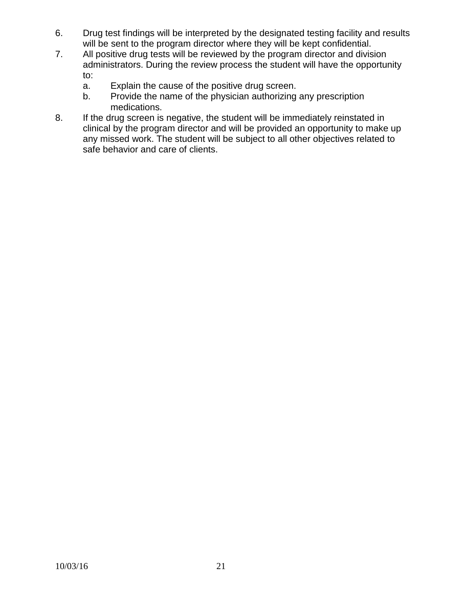- 6. Drug test findings will be interpreted by the designated testing facility and results will be sent to the program director where they will be kept confidential.
- 7. All positive drug tests will be reviewed by the program director and division administrators. During the review process the student will have the opportunity to:
	- a. Explain the cause of the positive drug screen.
	- b. Provide the name of the physician authorizing any prescription medications.
- 8. If the drug screen is negative, the student will be immediately reinstated in clinical by the program director and will be provided an opportunity to make up any missed work. The student will be subject to all other objectives related to safe behavior and care of clients.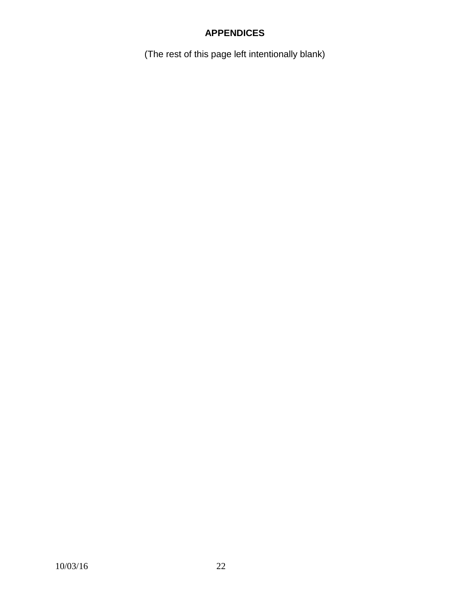## **APPENDICES**

(The rest of this page left intentionally blank)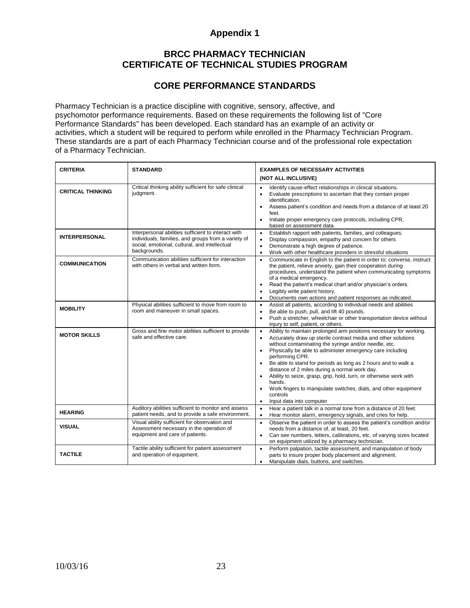#### **BRCC PHARMACY TECHNICIAN CERTIFICATE OF TECHNICAL STUDIES PROGRAM**

#### **CORE PERFORMANCE STANDARDS**

Pharmacy Technician is a practice discipline with cognitive, sensory, affective, and psychomotor performance requirements. Based on these requirements the following list of "Core Performance Standards" has been developed. Each standard has an example of an activity or activities, which a student will be required to perform while enrolled in the Pharmacy Technician Program. These standards are a part of each Pharmacy Technician course and of the professional role expectation of a Pharmacy Technician.

| <b>CRITERIA</b>          | <b>STANDARD</b>                                                                                                              | <b>EXAMPLES OF NECESSARY ACTIVITIES</b>                                                                                                                                                                                                                                                                                                                                                                                                                                                                                                                                                                                                      |  |  |
|--------------------------|------------------------------------------------------------------------------------------------------------------------------|----------------------------------------------------------------------------------------------------------------------------------------------------------------------------------------------------------------------------------------------------------------------------------------------------------------------------------------------------------------------------------------------------------------------------------------------------------------------------------------------------------------------------------------------------------------------------------------------------------------------------------------------|--|--|
|                          |                                                                                                                              | (NOT ALL INCLUSIVE)                                                                                                                                                                                                                                                                                                                                                                                                                                                                                                                                                                                                                          |  |  |
| <b>CRITICAL THINKING</b> | Critical thinking ability sufficient for safe clinical<br>judgment.                                                          | Identify cause-effect relationships in clinical situations.<br>$\bullet$<br>Evaluate prescriptions to ascertain that they contain proper<br>$\bullet$<br>identification.<br>Assess patient's condition and needs from a distance of at least 20<br>feet.<br>Initiate proper emergency care protocols, including CPR,                                                                                                                                                                                                                                                                                                                         |  |  |
|                          | Interpersonal abilities sufficient to interact with                                                                          | based on assessment data.                                                                                                                                                                                                                                                                                                                                                                                                                                                                                                                                                                                                                    |  |  |
| <b>INTERPERSONAL</b>     | individuals, families, and groups from a variety of<br>social, emotional, cultural, and intellectual<br>backgrounds.         | Establish rapport with patients, families, and colleagues.<br>$\bullet$<br>Display compassion, empathy and concern for others<br>$\bullet$<br>Demonstrate a high degree of patience.<br>$\bullet$<br>Work with other healthcare providers in stressful situations<br>$\bullet$                                                                                                                                                                                                                                                                                                                                                               |  |  |
| <b>COMMUNICATION</b>     | Communication abilities sufficient for interaction<br>with others in verbal and written form.                                | Communicate in English to the patient in order to: converse, instruct<br>$\bullet$<br>the patient, relieve anxiety, gain their cooperation during<br>procedures, understand the patient when communicating symptoms<br>of a medical emergency.<br>Read the patient's medical chart and/or physician's orders.<br>$\bullet$<br>Legibly write patient history.<br>٠<br>Documents own actions and patient responses as indicated.<br>$\bullet$                                                                                                                                                                                                  |  |  |
| <b>MOBILITY</b>          | Physical abilities sufficient to move from room to<br>room and maneuver in small spaces.                                     | Assist all patients, according to individual needs and abilities<br>$\bullet$<br>Be able to push, pull, and lift 40 pounds.<br>$\bullet$<br>Push a stretcher, wheelchair or other transportation device without<br>$\bullet$<br>injury to self, patient, or others.                                                                                                                                                                                                                                                                                                                                                                          |  |  |
| <b>MOTOR SKILLS</b>      | Gross and fine motor abilities sufficient to provide<br>safe and effective care.                                             | Ability to maintain prolonged arm positions necessary for working.<br>$\bullet$<br>Accurately draw up sterile contrast media and other solutions<br>$\bullet$<br>without contaminating the syringe and/or needle, etc.<br>Physically be able to administer emergency care including<br>$\bullet$<br>performing CPR.<br>Be able to stand for periods as long as 2 hours and to walk a<br>distance of 2 miles during a normal work day.<br>Ability to seize, grasp, grip, hold, turn, or otherwise work with<br>hands.<br>Work fingers to manipulate switches, dials, and other equipment<br>controls<br>Input data into computer<br>$\bullet$ |  |  |
| <b>HEARING</b>           | Auditory abilities sufficient to monitor and assess<br>patient needs, and to provide a safe environment.                     | Hear a patient talk in a normal tone from a distance of 20 feet.<br>$\bullet$<br>$\bullet$<br>Hear monitor alarm, emergency signals, and cries for help.                                                                                                                                                                                                                                                                                                                                                                                                                                                                                     |  |  |
| <b>VISUAL</b>            | Visual ability sufficient for observation and<br>Assessment necessary in the operation of<br>equipment and care of patients. | Observe the patient in order to assess the patient's condition and/or<br>$\bullet$<br>needs from a distance of, at least, 20 feet.<br>Can see numbers, letters, calibrations, etc. of varying sizes located<br>$\bullet$<br>on equipment utilized by a pharmacy technician.                                                                                                                                                                                                                                                                                                                                                                  |  |  |
| <b>TACTILE</b>           | Tactile ability sufficient for patient assessment<br>and operation of equipment.                                             | Perform palpation, tactile assessment, and manipulation of body<br>$\bullet$<br>parts to insure proper body placement and alignment.<br>Manipulate dials, buttons, and switches.<br>$\bullet$                                                                                                                                                                                                                                                                                                                                                                                                                                                |  |  |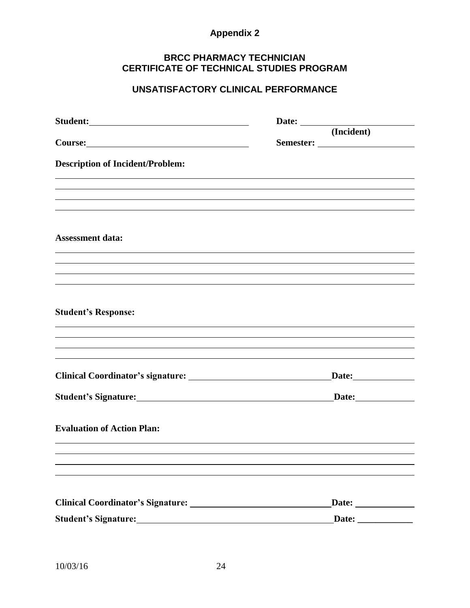#### **BRCC PHARMACY TECHNICIAN CERTIFICATE OF TECHNICAL STUDIES PROGRAM**

## **UNSATISFACTORY CLINICAL PERFORMANCE**

|                                         | (Incident) |
|-----------------------------------------|------------|
| <b>Description of Incident/Problem:</b> |            |
|                                         |            |
|                                         |            |
| <b>Assessment data:</b>                 |            |
|                                         |            |
|                                         |            |
| <b>Student's Response:</b>              |            |
|                                         |            |
|                                         |            |
|                                         |            |
| <b>Evaluation of Action Plan:</b>       |            |
|                                         |            |
|                                         |            |
|                                         |            |
|                                         |            |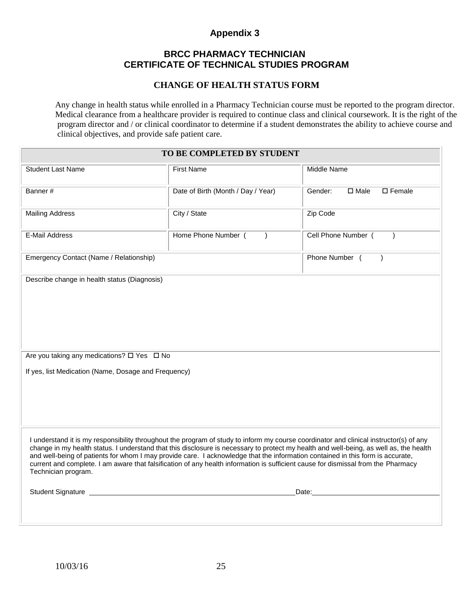#### **BRCC PHARMACY TECHNICIAN CERTIFICATE OF TECHNICAL STUDIES PROGRAM**

#### **CHANGE OF HEALTH STATUS FORM**

 Any change in health status while enrolled in a Pharmacy Technician course must be reported to the program director. Medical clearance from a healthcare provider is required to continue class and clinical coursework. It is the right of the program director and / or clinical coordinator to determine if a student demonstrates the ability to achieve course and clinical objectives, and provide safe patient care.

| TO BE COMPLETED BY STUDENT                                                                                                                                                                                                                                                                                                                                                                                                                                                                                                                                                     |                                    |                                               |  |
|--------------------------------------------------------------------------------------------------------------------------------------------------------------------------------------------------------------------------------------------------------------------------------------------------------------------------------------------------------------------------------------------------------------------------------------------------------------------------------------------------------------------------------------------------------------------------------|------------------------------------|-----------------------------------------------|--|
| <b>Student Last Name</b>                                                                                                                                                                                                                                                                                                                                                                                                                                                                                                                                                       | <b>First Name</b>                  | Middle Name                                   |  |
| Banner#                                                                                                                                                                                                                                                                                                                                                                                                                                                                                                                                                                        | Date of Birth (Month / Day / Year) | $\square$ Female<br>Gender:<br>$\square$ Male |  |
| <b>Mailing Address</b>                                                                                                                                                                                                                                                                                                                                                                                                                                                                                                                                                         | City / State                       | Zip Code                                      |  |
| E-Mail Address                                                                                                                                                                                                                                                                                                                                                                                                                                                                                                                                                                 | Home Phone Number (<br>$\lambda$   | Cell Phone Number (<br>$\lambda$              |  |
| Phone Number (<br>Emergency Contact (Name / Relationship)<br>$\lambda$                                                                                                                                                                                                                                                                                                                                                                                                                                                                                                         |                                    |                                               |  |
| Describe change in health status (Diagnosis)                                                                                                                                                                                                                                                                                                                                                                                                                                                                                                                                   |                                    |                                               |  |
| Are you taking any medications? □ Yes □ No<br>If yes, list Medication (Name, Dosage and Frequency)                                                                                                                                                                                                                                                                                                                                                                                                                                                                             |                                    |                                               |  |
| I understand it is my responsibility throughout the program of study to inform my course coordinator and clinical instructor(s) of any<br>change in my health status. I understand that this disclosure is necessary to protect my health and well-being, as well as, the health<br>and well-being of patients for whom I may provide care. I acknowledge that the information contained in this form is accurate,<br>current and complete. I am aware that falsification of any health information is sufficient cause for dismissal from the Pharmacy<br>Technician program. |                                    |                                               |  |
| Student Signature                                                                                                                                                                                                                                                                                                                                                                                                                                                                                                                                                              | Date:                              |                                               |  |
|                                                                                                                                                                                                                                                                                                                                                                                                                                                                                                                                                                                |                                    |                                               |  |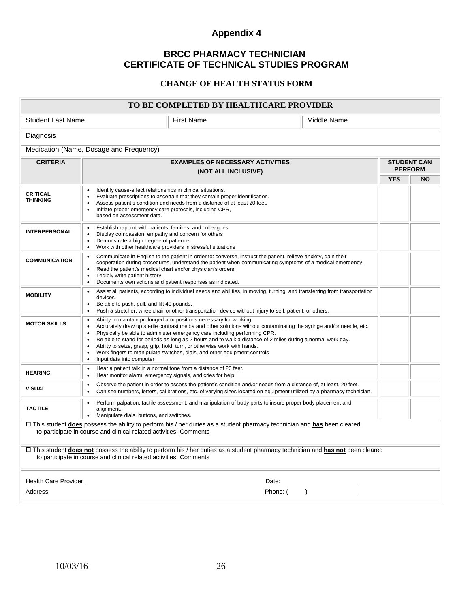## **BRCC PHARMACY TECHNICIAN CERTIFICATE OF TECHNICAL STUDIES PROGRAM**

#### **CHANGE OF HEALTH STATUS FORM**

| TO BE COMPLETED BY HEALTHCARE PROVIDER                                                                                                                                                                                                                                                                                                                                                                                                                                                                                                                                                                                          |                                                                                                                                                                                                                                                                                                                                                                                                        |                                                                                                                                                                                                                                |  |            |                |
|---------------------------------------------------------------------------------------------------------------------------------------------------------------------------------------------------------------------------------------------------------------------------------------------------------------------------------------------------------------------------------------------------------------------------------------------------------------------------------------------------------------------------------------------------------------------------------------------------------------------------------|--------------------------------------------------------------------------------------------------------------------------------------------------------------------------------------------------------------------------------------------------------------------------------------------------------------------------------------------------------------------------------------------------------|--------------------------------------------------------------------------------------------------------------------------------------------------------------------------------------------------------------------------------|--|------------|----------------|
| <b>Student Last Name</b>                                                                                                                                                                                                                                                                                                                                                                                                                                                                                                                                                                                                        | <b>First Name</b><br>Middle Name                                                                                                                                                                                                                                                                                                                                                                       |                                                                                                                                                                                                                                |  |            |                |
| Diagnosis                                                                                                                                                                                                                                                                                                                                                                                                                                                                                                                                                                                                                       |                                                                                                                                                                                                                                                                                                                                                                                                        |                                                                                                                                                                                                                                |  |            |                |
|                                                                                                                                                                                                                                                                                                                                                                                                                                                                                                                                                                                                                                 | Medication (Name, Dosage and Frequency)                                                                                                                                                                                                                                                                                                                                                                |                                                                                                                                                                                                                                |  |            |                |
| <b>CRITERIA</b><br><b>EXAMPLES OF NECESSARY ACTIVITIES</b><br><b>STUDENT CAN</b><br><b>PERFORM</b>                                                                                                                                                                                                                                                                                                                                                                                                                                                                                                                              |                                                                                                                                                                                                                                                                                                                                                                                                        |                                                                                                                                                                                                                                |  |            |                |
|                                                                                                                                                                                                                                                                                                                                                                                                                                                                                                                                                                                                                                 | (NOT ALL INCLUSIVE)                                                                                                                                                                                                                                                                                                                                                                                    |                                                                                                                                                                                                                                |  | <b>YES</b> | N <sub>O</sub> |
| <b>CRITICAL</b><br><b>THINKING</b>                                                                                                                                                                                                                                                                                                                                                                                                                                                                                                                                                                                              | Identify cause-effect relationships in clinical situations.<br>Evaluate prescriptions to ascertain that they contain proper identification.<br>$\bullet$<br>Assess patient's condition and needs from a distance of at least 20 feet.<br>Initiate proper emergency care protocols, including CPR,<br>based on assessment data.                                                                         |                                                                                                                                                                                                                                |  |            |                |
| <b>INTERPERSONAL</b>                                                                                                                                                                                                                                                                                                                                                                                                                                                                                                                                                                                                            | Establish rapport with patients, families, and colleagues.<br>$\bullet$<br>Display compassion, empathy and concern for others<br>$\bullet$<br>Demonstrate a high degree of patience.<br>Work with other healthcare providers in stressful situations<br>$\bullet$                                                                                                                                      |                                                                                                                                                                                                                                |  |            |                |
| <b>COMMUNICATION</b>                                                                                                                                                                                                                                                                                                                                                                                                                                                                                                                                                                                                            | Communicate in English to the patient in order to: converse, instruct the patient, relieve anxiety, gain their<br>cooperation during procedures, understand the patient when communicating symptoms of a medical emergency.<br>Read the patient's medical chart and/or physician's orders.<br>Legibly write patient history.<br>$\bullet$<br>Documents own actions and patient responses as indicated. |                                                                                                                                                                                                                                |  |            |                |
| <b>MOBILITY</b>                                                                                                                                                                                                                                                                                                                                                                                                                                                                                                                                                                                                                 | Assist all patients, according to individual needs and abilities, in moving, turning, and transferring from transportation<br>devices.<br>Be able to push, pull, and lift 40 pounds.<br>Push a stretcher, wheelchair or other transportation device without injury to self, patient, or others.                                                                                                        |                                                                                                                                                                                                                                |  |            |                |
| Ability to maintain prolonged arm positions necessary for working.<br>٠<br><b>MOTOR SKILLS</b><br>Accurately draw up sterile contrast media and other solutions without contaminating the syringe and/or needle, etc.<br>Physically be able to administer emergency care including performing CPR.<br>Be able to stand for periods as long as 2 hours and to walk a distance of 2 miles during a normal work day.<br>$\bullet$<br>Ability to seize, grasp, grip, hold, turn, or otherwise work with hands.<br>Work fingers to manipulate switches, dials, and other equipment controls<br>Input data into computer<br>$\bullet$ |                                                                                                                                                                                                                                                                                                                                                                                                        |                                                                                                                                                                                                                                |  |            |                |
| <b>HEARING</b>                                                                                                                                                                                                                                                                                                                                                                                                                                                                                                                                                                                                                  | Hear a patient talk in a normal tone from a distance of 20 feet.<br>Hear monitor alarm, emergency signals, and cries for help.                                                                                                                                                                                                                                                                         |                                                                                                                                                                                                                                |  |            |                |
| <b>VISUAL</b>                                                                                                                                                                                                                                                                                                                                                                                                                                                                                                                                                                                                                   | Observe the patient in order to assess the patient's condition and/or needs from a distance of, at least, 20 feet.<br>Can see numbers, letters, calibrations, etc. of varying sizes located on equipment utilized by a pharmacy technician.                                                                                                                                                            |                                                                                                                                                                                                                                |  |            |                |
| <b>TACTILE</b>                                                                                                                                                                                                                                                                                                                                                                                                                                                                                                                                                                                                                  | Perform palpation, tactile assessment, and manipulation of body parts to insure proper body placement and<br>alignment.<br>Manipulate dials, buttons, and switches.<br>$\bullet$                                                                                                                                                                                                                       |                                                                                                                                                                                                                                |  |            |                |
| □ This student does possess the ability to perform his / her duties as a student pharmacy technician and has been cleared<br>to participate in course and clinical related activities. Comments                                                                                                                                                                                                                                                                                                                                                                                                                                 |                                                                                                                                                                                                                                                                                                                                                                                                        |                                                                                                                                                                                                                                |  |            |                |
| □ This student <b>does not</b> possess the ability to perform his / her duties as a student pharmacy technician and <b>has not</b> been cleared<br>to participate in course and clinical related activities. Comments                                                                                                                                                                                                                                                                                                                                                                                                           |                                                                                                                                                                                                                                                                                                                                                                                                        |                                                                                                                                                                                                                                |  |            |                |
|                                                                                                                                                                                                                                                                                                                                                                                                                                                                                                                                                                                                                                 | Health Care Provider <b>Example 2018</b>                                                                                                                                                                                                                                                                                                                                                               | Date: the contract of the contract of the contract of the contract of the contract of the contract of the contract of the contract of the contract of the contract of the contract of the contract of the contract of the cont |  |            |                |
| Address                                                                                                                                                                                                                                                                                                                                                                                                                                                                                                                                                                                                                         |                                                                                                                                                                                                                                                                                                                                                                                                        | $Phone: ($ $)$                                                                                                                                                                                                                 |  |            |                |